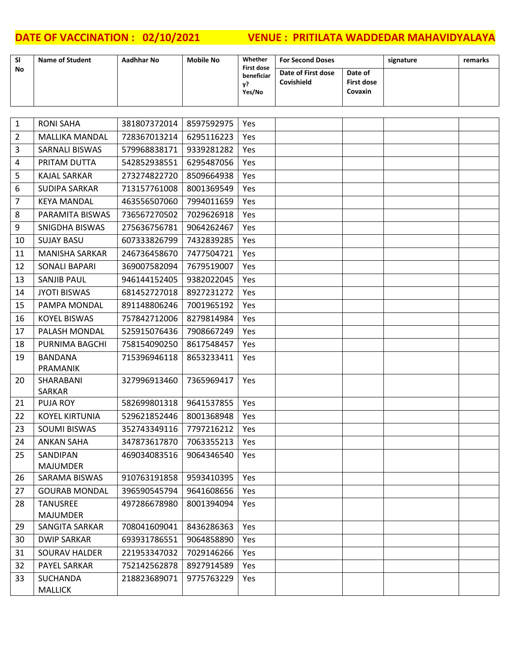| <b>SI</b>      | <b>Name of Student</b>             | <b>Aadhhar No</b> | <b>Mobile No</b> | Whether                         | <b>For Second Doses</b> |                              | signature | remarks |
|----------------|------------------------------------|-------------------|------------------|---------------------------------|-------------------------|------------------------------|-----------|---------|
| No             |                                    |                   |                  | <b>First dose</b><br>beneficiar | Date of First dose      | Date of                      |           |         |
|                |                                    |                   |                  | у?<br>Yes/No                    | Covishield              | <b>First dose</b><br>Covaxin |           |         |
|                |                                    |                   |                  |                                 |                         |                              |           |         |
|                |                                    |                   |                  |                                 |                         |                              |           |         |
| $\mathbf{1}$   | <b>RONI SAHA</b>                   | 381807372014      | 8597592975       | Yes                             |                         |                              |           |         |
| $\overline{2}$ | <b>MALLIKA MANDAL</b>              | 728367013214      | 6295116223       | Yes                             |                         |                              |           |         |
| 3              | <b>SARNALI BISWAS</b>              | 579968838171      | 9339281282       | Yes                             |                         |                              |           |         |
| 4              | PRITAM DUTTA                       | 542852938551      | 6295487056       | Yes                             |                         |                              |           |         |
| 5              | <b>KAJAL SARKAR</b>                | 273274822720      | 8509664938       | Yes                             |                         |                              |           |         |
| 6              | <b>SUDIPA SARKAR</b>               | 713157761008      | 8001369549       | Yes                             |                         |                              |           |         |
| $\overline{7}$ | <b>KEYA MANDAL</b>                 | 463556507060      | 7994011659       | Yes                             |                         |                              |           |         |
| 8              | PARAMITA BISWAS                    | 736567270502      | 7029626918       | Yes                             |                         |                              |           |         |
| 9              | SNIGDHA BISWAS                     | 275636756781      | 9064262467       | Yes                             |                         |                              |           |         |
| 10             | <b>SUJAY BASU</b>                  | 607333826799      | 7432839285       | Yes                             |                         |                              |           |         |
| 11             | <b>MANISHA SARKAR</b>              | 246736458670      | 7477504721       | Yes                             |                         |                              |           |         |
| 12             | <b>SONALI BAPARI</b>               | 369007582094      | 7679519007       | Yes                             |                         |                              |           |         |
| 13             | <b>SANJIB PAUL</b>                 | 946144152405      | 9382022045       | Yes                             |                         |                              |           |         |
| 14             | <b>JYOTI BISWAS</b>                | 681452727018      | 8927231272       | Yes                             |                         |                              |           |         |
| 15             | PAMPA MONDAL                       | 891148806246      | 7001965192       | Yes                             |                         |                              |           |         |
| 16             | <b>KOYEL BISWAS</b>                | 757842712006      | 8279814984       | Yes                             |                         |                              |           |         |
| 17             | PALASH MONDAL                      | 525915076436      | 7908667249       | Yes                             |                         |                              |           |         |
| 18             | PURNIMA BAGCHI                     | 758154090250      | 8617548457       | Yes                             |                         |                              |           |         |
| 19             | <b>BANDANA</b>                     | 715396946118      | 8653233411       | Yes                             |                         |                              |           |         |
|                | PRAMANIK                           |                   |                  |                                 |                         |                              |           |         |
| 20             | SHARABANI                          | 327996913460      | 7365969417       | Yes                             |                         |                              |           |         |
|                | <b>SARKAR</b>                      |                   |                  |                                 |                         |                              |           |         |
| 21             | <b>PUJA ROY</b>                    | 582699801318      | 9641537855       | Yes                             |                         |                              |           |         |
| 22             | <b>KOYEL KIRTUNIA</b>              | 529621852446      | 8001368948       | Yes                             |                         |                              |           |         |
| 23             | <b>SOUMI BISWAS</b>                | 352743349116      | 7797216212       | Yes                             |                         |                              |           |         |
| 24             | ANKAN SAHA                         | 347873617870      | 7063355213       | Yes                             |                         |                              |           |         |
| 25             | SANDIPAN                           | 469034083516      | 9064346540       | Yes                             |                         |                              |           |         |
|                | <b>MAJUMDER</b>                    |                   |                  |                                 |                         |                              |           |         |
| 26             | SARAMA BISWAS                      | 910763191858      | 9593410395       | Yes                             |                         |                              |           |         |
| 27             | <b>GOURAB MONDAL</b>               | 396590545794      | 9641608656       | Yes                             |                         |                              |           |         |
| 28             | <b>TANUSREE</b><br><b>MAJUMDER</b> | 497286678980      | 8001394094       | Yes                             |                         |                              |           |         |
| 29             | <b>SANGITA SARKAR</b>              | 708041609041      | 8436286363       | Yes                             |                         |                              |           |         |
| 30             | <b>DWIP SARKAR</b>                 | 693931786551      | 9064858890       | Yes                             |                         |                              |           |         |
| 31             | <b>SOURAV HALDER</b>               | 221953347032      | 7029146266       | Yes                             |                         |                              |           |         |
| 32             | PAYEL SARKAR                       | 752142562878      | 8927914589       | Yes                             |                         |                              |           |         |
| 33             | <b>SUCHANDA</b>                    | 218823689071      | 9775763229       | Yes                             |                         |                              |           |         |
|                | <b>MALLICK</b>                     |                   |                  |                                 |                         |                              |           |         |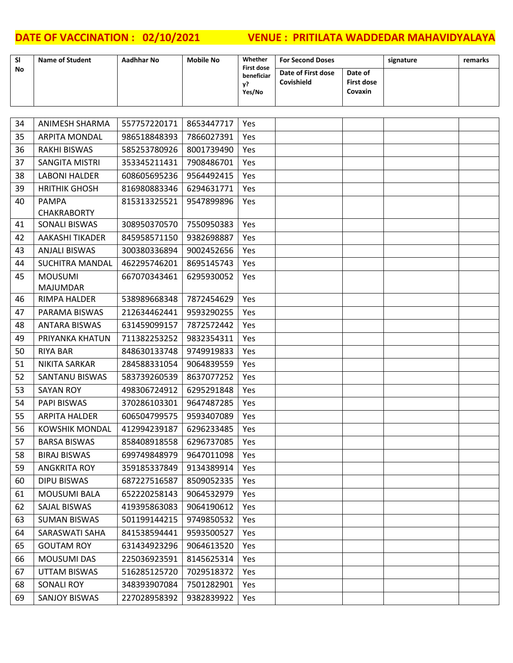| SI | <b>Name of Student</b>             | <b>Aadhhar No</b> | <b>Mobile No</b> | Whether                                         | <b>For Second Doses</b>          |                                         | signature | remarks |
|----|------------------------------------|-------------------|------------------|-------------------------------------------------|----------------------------------|-----------------------------------------|-----------|---------|
| No |                                    |                   |                  | <b>First dose</b><br>beneficiar<br>y?<br>Yes/No | Date of First dose<br>Covishield | Date of<br><b>First dose</b><br>Covaxin |           |         |
|    |                                    |                   |                  |                                                 |                                  |                                         |           |         |
| 34 | <b>ANIMESH SHARMA</b>              | 557757220171      | 8653447717       | Yes                                             |                                  |                                         |           |         |
| 35 | <b>ARPITA MONDAL</b>               | 986518848393      | 7866027391       | Yes.                                            |                                  |                                         |           |         |
| 36 | <b>RAKHI BISWAS</b>                | 585253780926      | 8001739490       | Yes                                             |                                  |                                         |           |         |
| 37 | SANGITA MISTRI                     | 353345211431      | 7908486701       | Yes                                             |                                  |                                         |           |         |
| 38 | <b>LABONI HALDER</b>               | 608605695236      | 9564492415       | Yes                                             |                                  |                                         |           |         |
| 39 | <b>HRITHIK GHOSH</b>               | 816980883346      | 6294631771       | Yes                                             |                                  |                                         |           |         |
| 40 | <b>PAMPA</b><br><b>CHAKRABORTY</b> | 815313325521      | 9547899896       | Yes                                             |                                  |                                         |           |         |
| 41 | <b>SONALI BISWAS</b>               | 308950370570      | 7550950383       | Yes                                             |                                  |                                         |           |         |
| 42 | <b>AAKASHI TIKADER</b>             | 845958571150      | 9382698887       | Yes                                             |                                  |                                         |           |         |
| 43 | <b>ANJALI BISWAS</b>               | 300380336894      | 9002452656       | Yes                                             |                                  |                                         |           |         |
| 44 | <b>SUCHITRA MANDAL</b>             | 462295746201      | 8695145743       | Yes                                             |                                  |                                         |           |         |
| 45 | <b>MOUSUMI</b><br><b>MAJUMDAR</b>  | 667070343461      | 6295930052       | Yes                                             |                                  |                                         |           |         |
| 46 | <b>RIMPA HALDER</b>                | 538989668348      | 7872454629       | Yes                                             |                                  |                                         |           |         |
| 47 | PARAMA BISWAS                      | 212634462441      | 9593290255       | Yes                                             |                                  |                                         |           |         |
| 48 | <b>ANTARA BISWAS</b>               | 631459099157      | 7872572442       | Yes                                             |                                  |                                         |           |         |
| 49 | PRIYANKA KHATUN                    | 711382253252      | 9832354311       | Yes                                             |                                  |                                         |           |         |
| 50 | <b>RIYA BAR</b>                    | 848630133748      | 9749919833       | Yes                                             |                                  |                                         |           |         |
| 51 | <b>NIKITA SARKAR</b>               | 284588331054      | 9064839559       | Yes                                             |                                  |                                         |           |         |
| 52 | SANTANU BISWAS                     | 583739260539      | 8637077252       | Yes                                             |                                  |                                         |           |         |
| 53 | <b>SAYAN ROY</b>                   | 498306724912      | 6295291848       | Yes                                             |                                  |                                         |           |         |
| 54 | <b>PAPI BISWAS</b>                 | 370286103301      | 9647487285       | <b>Yes</b>                                      |                                  |                                         |           |         |
| 55 | <b>ARPITA HALDER</b>               | 606504799575      | 9593407089       | Yes                                             |                                  |                                         |           |         |
| 56 | <b>KOWSHIK MONDAL</b>              | 412994239187      | 6296233485       | Yes                                             |                                  |                                         |           |         |
| 57 | <b>BARSA BISWAS</b>                | 858408918558      | 6296737085       | Yes                                             |                                  |                                         |           |         |
| 58 | <b>BIRAJ BISWAS</b>                | 699749848979      | 9647011098       | Yes                                             |                                  |                                         |           |         |
| 59 | ANGKRITA ROY                       | 359185337849      | 9134389914       | Yes                                             |                                  |                                         |           |         |
| 60 | DIPU BISWAS                        | 687227516587      | 8509052335       | Yes                                             |                                  |                                         |           |         |
| 61 | <b>MOUSUMI BALA</b>                | 652220258143      | 9064532979       | Yes                                             |                                  |                                         |           |         |
| 62 | SAJAL BISWAS                       | 419395863083      | 9064190612       | Yes                                             |                                  |                                         |           |         |
| 63 | <b>SUMAN BISWAS</b>                | 501199144215      | 9749850532       | Yes                                             |                                  |                                         |           |         |
| 64 | SARASWATI SAHA                     | 841538594441      | 9593500527       | Yes                                             |                                  |                                         |           |         |
| 65 | <b>GOUTAM ROY</b>                  | 631434923296      | 9064613520       | Yes                                             |                                  |                                         |           |         |
| 66 | <b>MOUSUMI DAS</b>                 | 225036923591      | 8145625314       | Yes                                             |                                  |                                         |           |         |
| 67 | <b>UTTAM BISWAS</b>                | 516285125720      | 7029518372       | Yes                                             |                                  |                                         |           |         |
| 68 | <b>SONALI ROY</b>                  | 348393907084      | 7501282901       | Yes                                             |                                  |                                         |           |         |
| 69 | <b>SANJOY BISWAS</b>               | 227028958392      | 9382839922       | Yes                                             |                                  |                                         |           |         |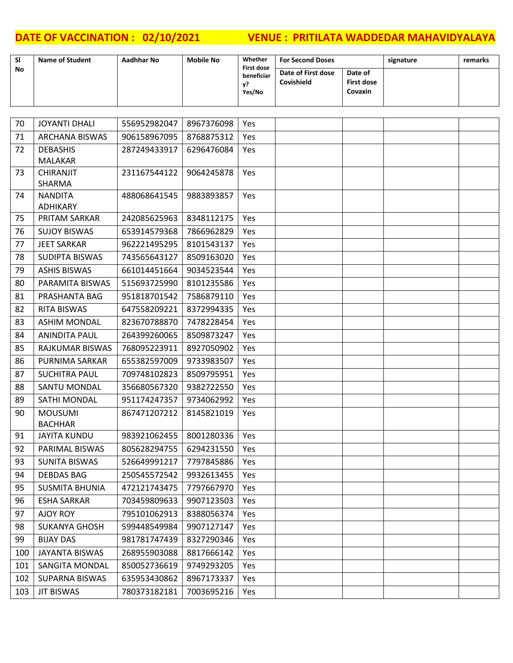| <b>SI</b> | <b>Name of Student</b> | Aadhhar No | <b>Mobile No</b> | Whether<br><b>First dose</b> | <b>For Second Doses</b>          |                                  | signature | remarks |
|-----------|------------------------|------------|------------------|------------------------------|----------------------------------|----------------------------------|-----------|---------|
| <b>No</b> |                        |            |                  | beneficiar<br>ν?<br>Yes/No   | Date of First dose<br>Covishield | Date of<br>First dose<br>Covaxin |           |         |

| 70  | <b>JOYANTI DHALI</b>             | 556952982047 | 8967376098 | Yes |  |  |
|-----|----------------------------------|--------------|------------|-----|--|--|
| 71  | <b>ARCHANA BISWAS</b>            | 906158967095 | 8768875312 | Yes |  |  |
| 72  | <b>DEBASHIS</b>                  | 287249433917 | 6296476084 | Yes |  |  |
|     | <b>MALAKAR</b>                   |              |            |     |  |  |
| 73  | <b>CHIRANJIT</b>                 | 231167544122 | 9064245878 | Yes |  |  |
| 74  | <b>SHARMA</b><br><b>NANDITA</b>  | 488068641545 | 9883893857 | Yes |  |  |
|     | ADHIKARY                         |              |            |     |  |  |
| 75  | PRITAM SARKAR                    | 242085625963 | 8348112175 | Yes |  |  |
| 76  | <b>SUJOY BISWAS</b>              | 653914579368 | 7866962829 | Yes |  |  |
| 77  | <b>JEET SARKAR</b>               | 962221495295 | 8101543137 | Yes |  |  |
| 78  | <b>SUDIPTA BISWAS</b>            | 743565643127 | 8509163020 | Yes |  |  |
| 79  | <b>ASHIS BISWAS</b>              | 661014451664 | 9034523544 | Yes |  |  |
| 80  | PARAMITA BISWAS                  | 515693725990 | 8101235586 | Yes |  |  |
| 81  | PRASHANTA BAG                    | 951818701542 | 7586879110 | Yes |  |  |
| 82  | <b>RITA BISWAS</b>               | 647558209221 | 8372994335 | Yes |  |  |
| 83  | <b>ASHIM MONDAL</b>              | 823670788870 | 7478228454 | Yes |  |  |
| 84  | <b>ANINDITA PAUL</b>             | 264399260065 | 8509873247 | Yes |  |  |
| 85  | RAJKUMAR BISWAS                  | 768095223911 | 8927050902 | Yes |  |  |
| 86  | PURNIMA SARKAR                   | 655382597009 | 9733983507 | Yes |  |  |
| 87  | <b>SUCHITRA PAUL</b>             | 709748102823 | 8509795951 | Yes |  |  |
| 88  | SANTU MONDAL                     | 356680567320 | 9382722550 | Yes |  |  |
| 89  | SATHI MONDAL                     | 951174247357 | 9734062992 | Yes |  |  |
| 90  | <b>MOUSUMI</b><br><b>BACHHAR</b> | 867471207212 | 8145821019 | Yes |  |  |
| 91  | <b>JAYITA KUNDU</b>              | 983921062455 | 8001280336 | Yes |  |  |
| 92  | PARIMAL BISWAS                   | 805628294755 | 6294231550 | Yes |  |  |
| 93  | <b>SUNITA BISWAS</b>             | 526649991217 | 7797845886 | Yes |  |  |
| 94  | <b>DEBDAS BAG</b>                | 250545572542 | 9932613455 | Yes |  |  |
| 95  | <b>SUSMITA BHUNIA</b>            | 472121743475 | 7797667970 | Yes |  |  |
| 96  | <b>ESHA SARKAR</b>               | 703459809633 | 9907123503 | Yes |  |  |
| 97  | AJOY ROY                         | 795101062913 | 8388056374 | Yes |  |  |
| 98  | <b>SUKANYA GHOSH</b>             | 599448549984 | 9907127147 | Yes |  |  |
| 99  | <b>BIJAY DAS</b>                 | 981781747439 | 8327290346 | Yes |  |  |
| 100 | JAYANTA BISWAS                   | 268955903088 | 8817666142 | Yes |  |  |
| 101 | <b>SANGITA MONDAL</b>            | 850052736619 | 9749293205 | Yes |  |  |
| 102 | <b>SUPARNA BISWAS</b>            | 635953430862 | 8967173337 | Yes |  |  |
| 103 | <b>JIT BISWAS</b>                | 780373182181 | 7003695216 | Yes |  |  |
|     |                                  |              |            |     |  |  |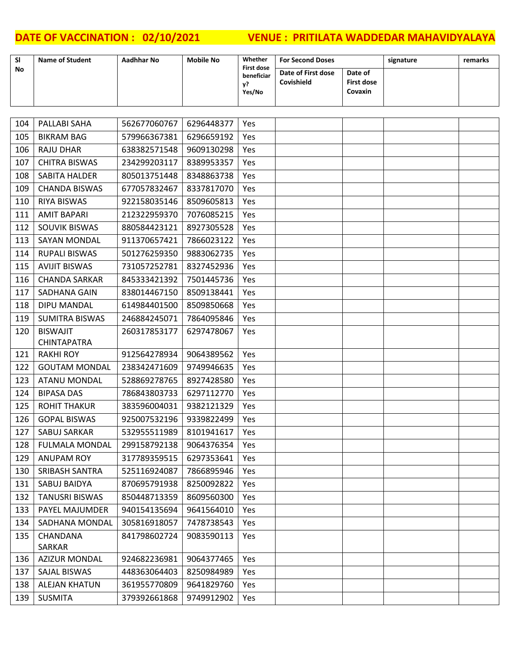| SI  | <b>Name of Student</b> | <b>Aadhhar No</b> | <b>Mobile No</b> | Whether<br><b>First dose</b> | <b>For Second Doses</b>          |                                         | signature | remarks |
|-----|------------------------|-------------------|------------------|------------------------------|----------------------------------|-----------------------------------------|-----------|---------|
| No  |                        |                   |                  | beneficiar<br>y?<br>Yes/No   | Date of First dose<br>Covishield | Date of<br><b>First dose</b><br>Covaxin |           |         |
|     |                        |                   |                  |                              |                                  |                                         |           |         |
| 104 | PALLABI SAHA           | 562677060767      | 6296448377       | Yes                          |                                  |                                         |           |         |
| 105 | <b>BIKRAM BAG</b>      | 579966367381      | 6296659192       | Yes                          |                                  |                                         |           |         |
| 106 | <b>RAJU DHAR</b>       | 638382571548      | 9609130298       | Yes                          |                                  |                                         |           |         |
| 107 | <b>CHITRA BISWAS</b>   | 234299203117      | 8389953357       | Yes                          |                                  |                                         |           |         |
| 108 | SABITA HALDER          | 805013751448      | 8348863738       | Yes                          |                                  |                                         |           |         |
| 109 | <b>CHANDA BISWAS</b>   | 677057832467      | 8337817070       | Yes                          |                                  |                                         |           |         |
| 110 | <b>RIYA BISWAS</b>     | 922158035146      | 8509605813       | Yes                          |                                  |                                         |           |         |
| 111 | <b>AMIT BAPARI</b>     | 212322959370      | 7076085215       | Yes                          |                                  |                                         |           |         |
| 112 | SOUVIK BISWAS          | 880584423121      | 8927305528       | Yes                          |                                  |                                         |           |         |
| 113 | <b>SAYAN MONDAL</b>    | 911370657421      | 7866023122       | Yes                          |                                  |                                         |           |         |
| 114 | <b>RUPALI BISWAS</b>   | 501276259350      | 9883062735       | Yes                          |                                  |                                         |           |         |
| 115 | <b>AVIJIT BISWAS</b>   | 731057252781      | 8327452936       | Yes                          |                                  |                                         |           |         |
| 116 | <b>CHANDA SARKAR</b>   | 845333421392      | 7501445736       | Yes                          |                                  |                                         |           |         |
| 117 | SADHANA GAIN           | 838014467150      | 8509138441       | Yes                          |                                  |                                         |           |         |
| 118 | DIPU MANDAL            | 614984401500      | 8509850668       | Yes                          |                                  |                                         |           |         |
| 119 | <b>SUMITRA BISWAS</b>  | 246884245071      | 7864095846       | Yes                          |                                  |                                         |           |         |
| 120 | <b>BISWAJIT</b>        | 260317853177      | 6297478067       | Yes                          |                                  |                                         |           |         |
|     | <b>CHINTAPATRA</b>     |                   |                  |                              |                                  |                                         |           |         |
| 121 | <b>RAKHI ROY</b>       | 912564278934      | 9064389562       | Yes                          |                                  |                                         |           |         |
| 122 | <b>GOUTAM MONDAL</b>   | 238342471609      | 9749946635       | Yes                          |                                  |                                         |           |         |
| 123 | <b>ATANU MONDAL</b>    | 528869278765      | 8927428580       | Yes                          |                                  |                                         |           |         |
| 124 | <b>BIPASA DAS</b>      | 786843803733      | 6297112770       | Yes                          |                                  |                                         |           |         |
| 125 | <b>ROHIT THAKUR</b>    | 383596004031      | 9382121329       | Yes                          |                                  |                                         |           |         |
| 126 | <b>GOPAL BISWAS</b>    | 925007532196      | 9339822499       | Yes                          |                                  |                                         |           |         |
|     | 127   SABUJ SARKAR     | 532955511989      | 8101941617   Yes |                              |                                  |                                         |           |         |
| 128 | <b>FULMALA MONDAL</b>  | 299158792138      | 9064376354       | Yes                          |                                  |                                         |           |         |
| 129 | ANUPAM ROY             | 317789359515      | 6297353641       | Yes                          |                                  |                                         |           |         |
| 130 | SRIBASH SANTRA         | 525116924087      | 7866895946       | Yes                          |                                  |                                         |           |         |
| 131 | SABUJ BAIDYA           | 870695791938      | 8250092822       | Yes                          |                                  |                                         |           |         |
| 132 | <b>TANUSRI BISWAS</b>  | 850448713359      | 8609560300       | Yes                          |                                  |                                         |           |         |
| 133 | PAYEL MAJUMDER         | 940154135694      | 9641564010       | Yes                          |                                  |                                         |           |         |
| 134 | SADHANA MONDAL         | 305816918057      | 7478738543       | Yes                          |                                  |                                         |           |         |
| 135 | CHANDANA               | 841798602724      | 9083590113       | Yes                          |                                  |                                         |           |         |
|     | SARKAR                 |                   |                  |                              |                                  |                                         |           |         |
| 136 | <b>AZIZUR MONDAL</b>   | 924682236981      | 9064377465       | Yes                          |                                  |                                         |           |         |
| 137 | SAJAL BISWAS           | 448363064403      | 8250984989       | Yes                          |                                  |                                         |           |         |
| 138 | <b>ALEJAN KHATUN</b>   | 361955770809      | 9641829760       | Yes                          |                                  |                                         |           |         |
| 139 | <b>SUSMITA</b>         | 379392661868      | 9749912902       | Yes                          |                                  |                                         |           |         |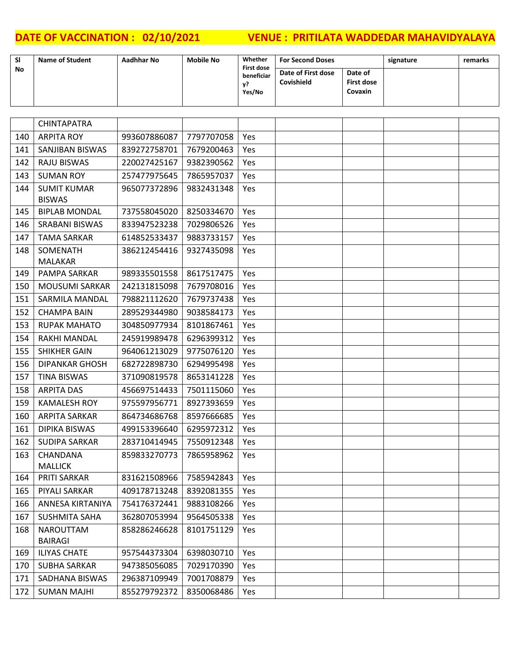| <b>SI</b> | <b>Name of Student</b> | Aadhhar No | <b>Mobile No</b> | Whether<br><b>First dose</b> | <b>For Second Doses</b>          |                                         | signature | remarks |
|-----------|------------------------|------------|------------------|------------------------------|----------------------------------|-----------------------------------------|-----------|---------|
| No        |                        |            |                  | beneficiar<br>Yes/No         | Date of First dose<br>Covishield | Date of<br><b>First dose</b><br>Covaxin |           |         |

|     | <b>CHINTAPATRA</b>    |              |            |     |  |  |
|-----|-----------------------|--------------|------------|-----|--|--|
| 140 | <b>ARPITA ROY</b>     | 993607886087 | 7797707058 | Yes |  |  |
| 141 | SANJIBAN BISWAS       | 839272758701 | 7679200463 | Yes |  |  |
| 142 | <b>RAJU BISWAS</b>    | 220027425167 | 9382390562 | Yes |  |  |
| 143 | <b>SUMAN ROY</b>      | 257477975645 | 7865957037 | Yes |  |  |
| 144 | <b>SUMIT KUMAR</b>    | 965077372896 | 9832431348 | Yes |  |  |
|     | <b>BISWAS</b>         |              |            |     |  |  |
| 145 | <b>BIPLAB MONDAL</b>  | 737558045020 | 8250334670 | Yes |  |  |
| 146 | <b>SRABANI BISWAS</b> | 833947523238 | 7029806526 | Yes |  |  |
| 147 | <b>TAMA SARKAR</b>    | 614852533437 | 9883733157 | Yes |  |  |
| 148 | SOMENATH              | 386212454416 | 9327435098 | Yes |  |  |
|     | <b>MALAKAR</b>        |              |            |     |  |  |
| 149 | PAMPA SARKAR          | 989335501558 | 8617517475 | Yes |  |  |
| 150 | <b>MOUSUMI SARKAR</b> | 242131815098 | 7679708016 | Yes |  |  |
| 151 | <b>SARMILA MANDAL</b> | 798821112620 | 7679737438 | Yes |  |  |
| 152 | <b>CHAMPA BAIN</b>    | 289529344980 | 9038584173 | Yes |  |  |
| 153 | <b>RUPAK MAHATO</b>   | 304850977934 | 8101867461 | Yes |  |  |
| 154 | <b>RAKHI MANDAL</b>   | 245919989478 | 6296399312 | Yes |  |  |
| 155 | <b>SHIKHER GAIN</b>   | 964061213029 | 9775076120 | Yes |  |  |
| 156 | <b>DIPANKAR GHOSH</b> | 682722898730 | 6294995498 | Yes |  |  |
| 157 | <b>TINA BISWAS</b>    | 371090819578 | 8653141228 | Yes |  |  |
| 158 | <b>ARPITA DAS</b>     | 456697514433 | 7501115060 | Yes |  |  |
| 159 | <b>KAMALESH ROY</b>   | 975597956771 | 8927393659 | Yes |  |  |
| 160 | <b>ARPITA SARKAR</b>  | 864734686768 | 8597666685 | Yes |  |  |
| 161 | <b>DIPIKA BISWAS</b>  | 499153396640 | 6295972312 | Yes |  |  |
| 162 | <b>SUDIPA SARKAR</b>  | 283710414945 | 7550912348 | Yes |  |  |
| 163 | CHANDANA              | 859833270773 | 7865958962 | Yes |  |  |
|     | <b>MALLICK</b>        |              |            |     |  |  |
| 164 | PRITI SARKAR          | 831621508966 | 7585942843 | Yes |  |  |
| 165 | PIYALI SARKAR         | 409178713248 | 8392081355 | Yes |  |  |
| 166 | ANNESA KIRTANIYA      | 754176372441 | 9883108266 | Yes |  |  |
| 167 | <b>SUSHMITA SAHA</b>  | 362807053994 | 9564505338 | Yes |  |  |
| 168 | NAROUTTAM             | 858286246628 | 8101751129 | Yes |  |  |
|     | <b>BAIRAGI</b>        |              |            |     |  |  |
| 169 | <b>ILIYAS CHATE</b>   | 957544373304 | 6398030710 | Yes |  |  |
| 170 | <b>SUBHA SARKAR</b>   | 947385056085 | 7029170390 | Yes |  |  |
| 171 | SADHANA BISWAS        | 296387109949 | 7001708879 | Yes |  |  |
| 172 | <b>SUMAN MAJHI</b>    | 855279792372 | 8350068486 | Yes |  |  |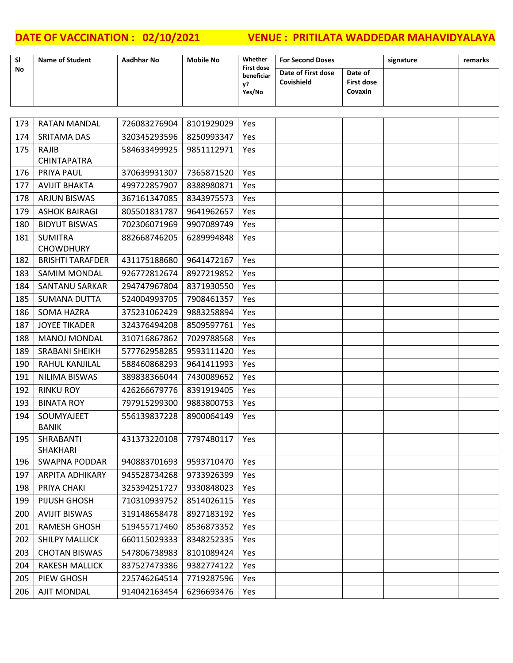| <b>SI</b> | <b>Name of Student</b>    | <b>Aadhhar No</b> | <b>Mobile No</b> | Whether                                         | <b>For Second Doses</b>          |                                         | signature | remarks |
|-----------|---------------------------|-------------------|------------------|-------------------------------------------------|----------------------------------|-----------------------------------------|-----------|---------|
| No        |                           |                   |                  | <b>First dose</b><br>beneficiar<br>v?<br>Yes/No | Date of First dose<br>Covishield | Date of<br><b>First dose</b><br>Covaxin |           |         |
|           |                           |                   |                  |                                                 |                                  |                                         |           |         |
| 173       | <b>RATAN MANDAL</b>       | 726083276904      | 8101929029       | Yes                                             |                                  |                                         |           |         |
| 174       | <b>SRITAMA DAS</b>        | 320345293596      | 8250993347       | Yes                                             |                                  |                                         |           |         |
| 175       | RAJIB                     | 584633499925      | 9851112971       | Yes                                             |                                  |                                         |           |         |
|           | <b>CHINTAPATRA</b>        |                   |                  |                                                 |                                  |                                         |           |         |
| 176       | <b>PRIYA PAUL</b>         | 370639931307      | 7365871520       | Yes                                             |                                  |                                         |           |         |
| 177       | <b>AVIJIT BHAKTA</b>      | 499722857907      | 8388980871       | Yes                                             |                                  |                                         |           |         |
| 178       | <b>ARJUN BISWAS</b>       | 367161347085      | 8343975573       | Yes                                             |                                  |                                         |           |         |
| 179       | <b>ASHOK BAIRAGI</b>      | 805501831787      | 9641962657       | Yes                                             |                                  |                                         |           |         |
| 180       | <b>BIDYUT BISWAS</b>      | 702306071969      | 9907089749       | Yes                                             |                                  |                                         |           |         |
| 181       | <b>SUMITRA</b>            | 882668746205      | 6289994848       | Yes                                             |                                  |                                         |           |         |
|           | <b>CHOWDHURY</b>          |                   |                  |                                                 |                                  |                                         |           |         |
| 182       | <b>BRISHTI TARAFDER</b>   | 431175188680      | 9641472167       | Yes                                             |                                  |                                         |           |         |
| 183       | <b>SAMIM MONDAL</b>       | 926772812674      | 8927219852       | Yes                                             |                                  |                                         |           |         |
| 184       | <b>SANTANU SARKAR</b>     | 294747967804      | 8371930550       | Yes                                             |                                  |                                         |           |         |
| 185       | <b>SUMANA DUTTA</b>       | 524004993705      | 7908461357       | Yes                                             |                                  |                                         |           |         |
| 186       | <b>SOMA HAZRA</b>         | 375231062429      | 9883258894       | Yes                                             |                                  |                                         |           |         |
| 187       | <b>JOYEE TIKADER</b>      | 324376494208      | 8509597761       | Yes                                             |                                  |                                         |           |         |
| 188       | <b>MANOJ MONDAL</b>       | 310716867862      | 7029788568       | Yes                                             |                                  |                                         |           |         |
| 189       | SRABANI SHEIKH            | 577762958285      | 9593111420       | Yes                                             |                                  |                                         |           |         |
| 190       | RAHUL KANJILAL            | 588460868293      | 9641411993       | Yes                                             |                                  |                                         |           |         |
| 191       | NILIMA BISWAS             | 389838366044      | 7430089652       | Yes                                             |                                  |                                         |           |         |
| 192       | <b>RINKU ROY</b>          | 426266679776      | 8391919405       | Yes                                             |                                  |                                         |           |         |
| 193       | <b>BINATA ROY</b>         | 797915299300      | 9883800753       | Yes                                             |                                  |                                         |           |         |
| 194       | SOUMYAJEET                | 556139837228      | 8900064149       | Yes                                             |                                  |                                         |           |         |
| 195       | <b>BANIK</b><br>SHRABANTI | 431373220108      | 7797480117       | Yes                                             |                                  |                                         |           |         |
|           | SHAKHARI                  |                   |                  |                                                 |                                  |                                         |           |         |
| 196       | <b>SWAPNA PODDAR</b>      | 940883701693      | 9593710470       | Yes                                             |                                  |                                         |           |         |
| 197       | <b>ARPITA ADHIKARY</b>    | 945528734268      | 9733926399       | Yes                                             |                                  |                                         |           |         |
| 198       | PRIYA CHAKI               | 325394251727      | 9330848023       | Yes                                             |                                  |                                         |           |         |
| 199       | PIJUSH GHOSH              | 710310939752      | 8514026115       | Yes                                             |                                  |                                         |           |         |
| 200       | <b>AVIJIT BISWAS</b>      | 319148658478      | 8927183192       | Yes                                             |                                  |                                         |           |         |
| 201       | <b>RAMESH GHOSH</b>       | 519455717460      | 8536873352       | Yes                                             |                                  |                                         |           |         |
| 202       | <b>SHILPY MALLICK</b>     | 660115029333      | 8348252335       | Yes                                             |                                  |                                         |           |         |
| 203       | <b>CHOTAN BISWAS</b>      | 547806738983      | 8101089424       | Yes                                             |                                  |                                         |           |         |
| 204       | <b>RAKESH MALLICK</b>     | 837527473386      | 9382774122       | Yes                                             |                                  |                                         |           |         |
| 205       | PIEW GHOSH                | 225746264514      | 7719287596       | Yes                                             |                                  |                                         |           |         |
| 206       | <b>AJIT MONDAL</b>        | 914042163454      | 6296693476       | Yes                                             |                                  |                                         |           |         |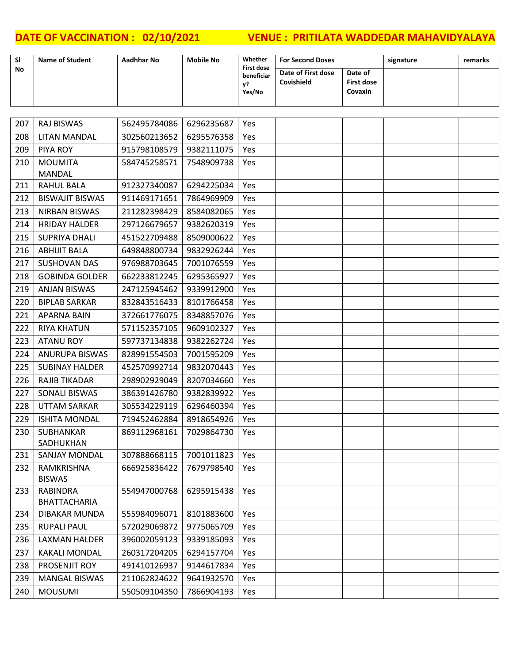| <b>SI</b> | <b>Name of Student</b> | Aadhhar No | <b>Mobile No</b> | Whether<br><b>First dose</b> | <b>For Second Doses</b>          |                                         | signature | remarks |
|-----------|------------------------|------------|------------------|------------------------------|----------------------------------|-----------------------------------------|-----------|---------|
| No        |                        |            |                  | beneficiar<br>v?<br>Yes/No   | Date of First dose<br>Covishield | Date of<br><b>First dose</b><br>Covaxin |           |         |

| 207 | <b>RAJ BISWAS</b>               | 562495784086 | 6296235687 | Yes        |  |  |
|-----|---------------------------------|--------------|------------|------------|--|--|
| 208 | <b>LITAN MANDAL</b>             | 302560213652 | 6295576358 | Yes        |  |  |
| 209 | PIYA ROY                        | 915798108579 | 9382111075 | Yes        |  |  |
| 210 | <b>MOUMITA</b>                  | 584745258571 | 7548909738 | Yes        |  |  |
|     | <b>MANDAL</b>                   |              |            |            |  |  |
| 211 | <b>RAHUL BALA</b>               | 912327340087 | 6294225034 | Yes        |  |  |
| 212 | <b>BISWAJIT BISWAS</b>          | 911469171651 | 7864969909 | Yes        |  |  |
| 213 | <b>NIRBAN BISWAS</b>            | 211282398429 | 8584082065 | Yes        |  |  |
| 214 | <b>HRIDAY HALDER</b>            | 297126679657 | 9382620319 | Yes        |  |  |
| 215 | <b>SUPRIYA DHALI</b>            | 451522709488 | 8509000622 | Yes        |  |  |
| 216 | <b>ABHIJIT BALA</b>             | 649848800734 | 9832926244 | <b>Yes</b> |  |  |
| 217 | <b>SUSHOVAN DAS</b>             | 976988703645 | 7001076559 | Yes        |  |  |
| 218 | <b>GOBINDA GOLDER</b>           | 662233812245 | 6295365927 | Yes        |  |  |
| 219 | <b>ANJAN BISWAS</b>             | 247125945462 | 9339912900 | Yes        |  |  |
| 220 | <b>BIPLAB SARKAR</b>            | 832843516433 | 8101766458 | Yes        |  |  |
| 221 | APARNA BAIN                     | 372661776075 | 8348857076 | Yes        |  |  |
| 222 | <b>RIYA KHATUN</b>              | 571152357105 | 9609102327 | Yes        |  |  |
| 223 | <b>ATANU ROY</b>                | 597737134838 | 9382262724 | Yes        |  |  |
| 224 | <b>ANURUPA BISWAS</b>           | 828991554503 | 7001595209 | Yes        |  |  |
| 225 | <b>SUBINAY HALDER</b>           | 452570992714 | 9832070443 | Yes        |  |  |
| 226 | <b>RAJIB TIKADAR</b>            | 298902929049 | 8207034660 | Yes        |  |  |
| 227 | <b>SONALI BISWAS</b>            | 386391426780 | 9382839922 | Yes        |  |  |
| 228 | <b>UTTAM SARKAR</b>             | 305534229119 | 6296460394 | Yes        |  |  |
| 229 | <b>ISHITA MONDAL</b>            | 719452462884 | 8918654926 | Yes        |  |  |
| 230 | SUBHANKAR                       | 869112968161 | 7029864730 | Yes        |  |  |
|     | SADHUKHAN                       |              |            |            |  |  |
| 231 | SANJAY MONDAL                   | 307888668115 | 7001011823 | Yes        |  |  |
| 232 | RAMKRISHNA                      | 666925836422 | 7679798540 | Yes        |  |  |
|     | <b>BISWAS</b>                   |              |            |            |  |  |
| 233 | RABINDRA<br><b>BHATTACHARIA</b> | 554947000768 | 6295915438 | Yes        |  |  |
| 234 | DIBAKAR MUNDA                   | 555984096071 | 8101883600 | Yes        |  |  |
| 235 | <b>RUPALI PAUL</b>              | 572029069872 | 9775065709 | Yes        |  |  |
| 236 | <b>LAXMAN HALDER</b>            | 396002059123 | 9339185093 | Yes        |  |  |
| 237 | <b>KAKALI MONDAL</b>            | 260317204205 | 6294157704 | Yes        |  |  |
| 238 | PROSENJIT ROY                   | 491410126937 | 9144617834 |            |  |  |
|     | <b>MANGAL BISWAS</b>            |              |            | Yes        |  |  |
| 239 |                                 | 211062824622 | 9641932570 | Yes        |  |  |
| 240 | <b>MOUSUMI</b>                  | 550509104350 | 7866904193 | Yes        |  |  |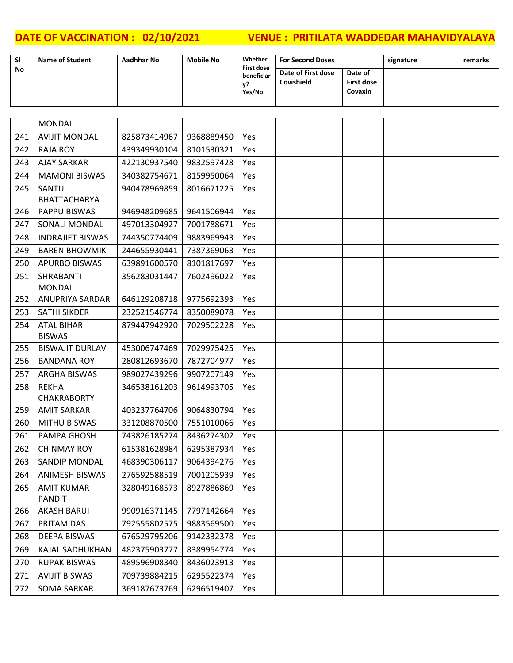| <b>SI</b> | <b>Name of Student</b> | Aadhhar No | <b>Mobile No</b> | Whether<br><b>First dose</b> | <b>For Second Doses</b>          |                                         | signature | remarks |
|-----------|------------------------|------------|------------------|------------------------------|----------------------------------|-----------------------------------------|-----------|---------|
| No        |                        |            |                  | beneficiar<br>Yes/No         | Date of First dose<br>Covishield | Date of<br><b>First dose</b><br>Covaxin |           |         |

|     | <b>MONDAL</b>           |              |            |     |  |  |
|-----|-------------------------|--------------|------------|-----|--|--|
| 241 | <b>AVIJIT MONDAL</b>    | 825873414967 | 9368889450 | Yes |  |  |
| 242 | <b>RAJA ROY</b>         | 439349930104 | 8101530321 | Yes |  |  |
| 243 | <b>AJAY SARKAR</b>      | 422130937540 | 9832597428 | Yes |  |  |
| 244 | <b>MAMONI BISWAS</b>    | 340382754671 | 8159950064 | Yes |  |  |
| 245 | SANTU                   | 940478969859 | 8016671225 | Yes |  |  |
|     | <b>BHATTACHARYA</b>     |              |            |     |  |  |
| 246 | PAPPU BISWAS            | 946948209685 | 9641506944 | Yes |  |  |
| 247 | <b>SONALI MONDAL</b>    | 497013304927 | 7001788671 | Yes |  |  |
| 248 | <b>INDRAJIET BISWAS</b> | 744350774409 | 9883969943 | Yes |  |  |
| 249 | <b>BAREN BHOWMIK</b>    | 244655930441 | 7387369063 | Yes |  |  |
| 250 | <b>APURBO BISWAS</b>    | 639891600570 | 8101817697 | Yes |  |  |
| 251 | SHRABANTI               | 356283031447 | 7602496022 | Yes |  |  |
|     | <b>MONDAL</b>           |              |            |     |  |  |
| 252 | <b>ANUPRIYA SARDAR</b>  | 646129208718 | 9775692393 | Yes |  |  |
| 253 | <b>SATHI SIKDER</b>     | 232521546774 | 8350089078 | Yes |  |  |
| 254 | <b>ATAL BIHARI</b>      | 879447942920 | 7029502228 | Yes |  |  |
|     | <b>BISWAS</b>           |              |            |     |  |  |
| 255 | <b>BISWAJIT DURLAV</b>  | 453006747469 | 7029975425 | Yes |  |  |
| 256 | <b>BANDANA ROY</b>      | 280812693670 | 7872704977 | Yes |  |  |
| 257 | <b>ARGHA BISWAS</b>     | 989027439296 | 9907207149 | Yes |  |  |
| 258 | <b>REKHA</b>            | 346538161203 | 9614993705 | Yes |  |  |
|     | <b>CHAKRABORTY</b>      |              |            |     |  |  |
| 259 | AMIT SARKAR             | 403237764706 | 9064830794 | Yes |  |  |
| 260 | <b>MITHU BISWAS</b>     | 331208870500 | 7551010066 | Yes |  |  |
| 261 | <b>PAMPA GHOSH</b>      | 743826185274 | 8436274302 | Yes |  |  |
| 262 | <b>CHINMAY ROY</b>      | 615381628984 | 6295387934 | Yes |  |  |
| 263 | <b>SANDIP MONDAL</b>    | 468390306117 | 9064394276 | Yes |  |  |
| 264 | <b>ANIMESH BISWAS</b>   | 276592588519 | 7001205939 | Yes |  |  |
| 265 | <b>AMIT KUMAR</b>       | 328049168573 | 8927886869 | Yes |  |  |
|     | <b>PANDIT</b>           |              |            |     |  |  |
| 266 | <b>AKASH BARUI</b>      | 990916371145 | 7797142664 | Yes |  |  |
| 267 | PRITAM DAS              | 792555802575 | 9883569500 | Yes |  |  |
| 268 | <b>DEEPA BISWAS</b>     | 676529795206 | 9142332378 | Yes |  |  |
| 269 | <b>KAJAL SADHUKHAN</b>  | 482375903777 | 8389954774 | Yes |  |  |
| 270 | <b>RUPAK BISWAS</b>     | 489596908340 | 8436023913 | Yes |  |  |
| 271 | <b>AVIJIT BISWAS</b>    | 709739884215 | 6295522374 | Yes |  |  |
| 272 | <b>SOMA SARKAR</b>      | 369187673769 | 6296519407 | Yes |  |  |